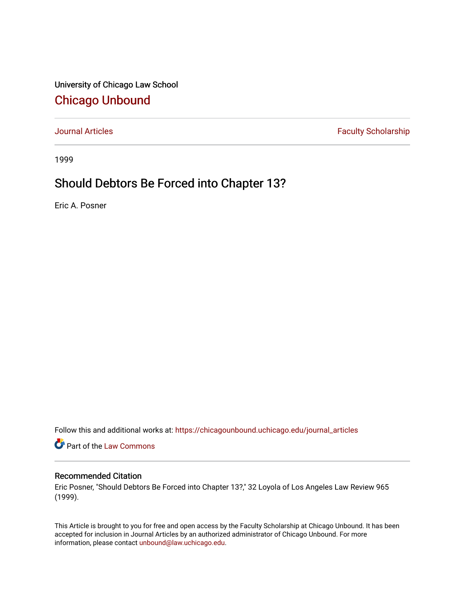University of Chicago Law School [Chicago Unbound](https://chicagounbound.uchicago.edu/)

[Journal Articles](https://chicagounbound.uchicago.edu/journal_articles) **Faculty Scholarship Faculty Scholarship** 

1999

## Should Debtors Be Forced into Chapter 13?

Eric A. Posner

Follow this and additional works at: [https://chicagounbound.uchicago.edu/journal\\_articles](https://chicagounbound.uchicago.edu/journal_articles?utm_source=chicagounbound.uchicago.edu%2Fjournal_articles%2F1762&utm_medium=PDF&utm_campaign=PDFCoverPages) 

Part of the [Law Commons](http://network.bepress.com/hgg/discipline/578?utm_source=chicagounbound.uchicago.edu%2Fjournal_articles%2F1762&utm_medium=PDF&utm_campaign=PDFCoverPages)

## Recommended Citation

Eric Posner, "Should Debtors Be Forced into Chapter 13?," 32 Loyola of Los Angeles Law Review 965 (1999).

This Article is brought to you for free and open access by the Faculty Scholarship at Chicago Unbound. It has been accepted for inclusion in Journal Articles by an authorized administrator of Chicago Unbound. For more information, please contact [unbound@law.uchicago.edu](mailto:unbound@law.uchicago.edu).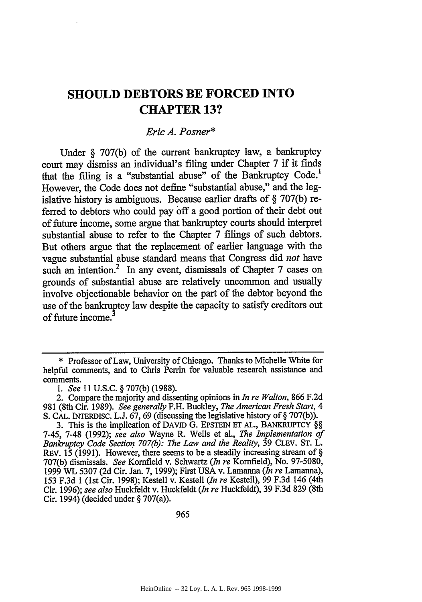## **SHOULD DEBTORS BE FORCED INTO CHAPTER 13?**

## *Eric A. Posner\**

Under **§ 707(b)** of the current bankruptcy law, a bankruptcy court may dismiss an individual's filing under Chapter **7** if it finds that the filing is a "substantial abuse" of the Bankruptcy Code.' However, the Code does not define "substantial abuse," and the legislative history is ambiguous. Because earlier drafts of **§** 707(b) referred to debtors who could pay off a good portion of their debt out of future income, some argue that bankruptcy courts should interpret substantial abuse to refer to the Chapter 7 filings of such debtors. But others argue that the replacement of earlier language with the vague substantial abuse standard means that Congress did *not* have such an intention.<sup>2</sup> In any event, dismissals of Chapter 7 cases on grounds of substantial abuse are relatively uncommon and usually involve objectionable behavior on the part of the debtor beyond the use of the bankruptcy law despite the capacity to satisfy creditors out of future income.

**<sup>\*</sup>** Professor of Law, University of Chicago. Thanks to Michelle White for helpful comments, and to Chris Perrin for valuable research assistance and comments.

*<sup>1.</sup> See* 11 U.S.C. § 707(b) (1988).

<sup>2.</sup> Compare the majority and dissenting opinions in *In re Walton,* 866 F.2d 981 (8th Cir. 1989). *See generally* F.H. Buckley, *The American Fresh Start, 4* S. CAL. INTERDISc. L.J. 67, 69 (discussing the legislative history of **§** 707(b)).

**<sup>3.</sup>** This is the implication of DAvID **G.** EPSTEIN ET AL., BANKRUPTCY **§§** 7-45, 7-48 (1992); *see also* Wayne R. Wells et al., *The Implementation of Bankruptcy Code Section 707(b): The Law and the Reality,* 39 CLEV. ST. L. REV. 15 (1991). However, there seems to be a steadily increasing stream of **§** 707(b) dismissals. *See* Kornfield v. Schwartz *(In re* Kornfield), No. 97-5080, 1999 WL 5307 (2d Cir. Jan. 7, 1999); First USA v. Lamanna *(In re* Lamanna), 153 F.3d 1 (1st Cir. 1998); Kestell v. Kestell *(In re* Kestell), 99 F.3d 146 (4th Cir. 1996); *see also* Huckfeldt v. Huckfeldt *(In re* Huckfeldt), 39 F.3d 829 (8th Cir. 1994) (decided under **§** 707(a)).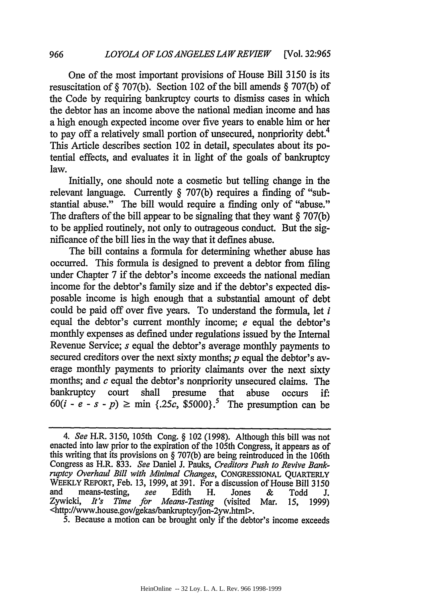One of the most important provisions of House Bill 3150 is its resuscitation of § 707(b). Section 102 of the bill amends § 707(b) of the Code by requiring bankruptcy courts to dismiss cases in which the debtor has an income above the national median income and has a high enough expected income over five years to enable him or her to pay off a relatively small portion of unsecured, nonpriority debt.<sup>4</sup> This Article describes section 102 in detail, speculates about its potential effects, and evaluates it in light of the goals of bankruptcy law.

Initially, one should note a cosmetic but telling change in the relevant language. Currently § 707(b) requires a finding of "substantial abuse." The bill would require a finding only of "abuse." The drafters of the bill appear to be signaling that they want § 707(b) to be applied routinely, not only to outrageous conduct. But the significance of the bill lies in the way that it defines abuse.

The bill contains a formula for determining whether abuse has occurred. This formula is designed to prevent a debtor from filing under Chapter 7 if the debtor's income exceeds the national median income for the debtor's family size and if the debtor's expected disposable income is high enough that a substantial amount of debt could be paid off over five years. To understand the formula, let *i* equal the debtor's current monthly income; *e* equal the debtor's monthly expenses as defined under regulations issued by the Internal Revenue Service; *s* equal the debtor's average monthly payments to secured creditors over the next sixty months;  $p$  equal the debtor's average monthly payments to priority claimants over the next sixty months; and *c* equal the debtor's nonpriority unsecured claims. The bankruptcy court shall presume that abuse occurs **if:**  $60(i - e - s - p) \ge \min \{.25c, \$5000\}$ <sup>5</sup> The presumption can be

5. Because a motion can be brought only if the debtor's income exceeds

*966*

*<sup>4.</sup> See* H.R. 3150, 105th Cong. § 102 **(1998).** Although this bill was not enacted into law prior to the expiration of the 105th Congress, it appears as of this writing that its provisions on § 707(b) are being reintroduced in the 106th Congress as H.R. 833. *See* Daniel J. Pauks, *Creditors Push to Revive Bankruptcy Overhaul Bill with Minimal Changes,* **CONGRESSIONAL** QUARTERLY WEEKLY REPORT, Feb. 13, 1999, at 391. For a discussion of House Bill 3150 and means-testing, *see* Edith H. Jones & Todd **J.** Zywicki, *It's Time for Means-Testing* (visited Mar. 15, 1999)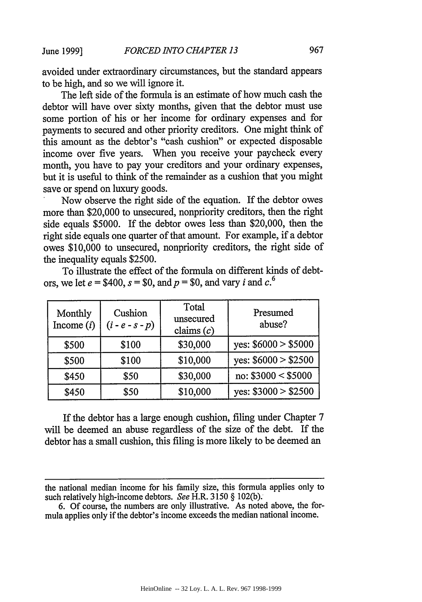avoided under extraordinary circumstances, but the standard appears to be high, and so we will ignore it.

The left side of the formula is an estimate of how much cash the debtor will have over sixty months, given that the debtor must use some portion of his or her income for ordinary expenses and for payments to secured and other priority creditors. One might think of this amount as the debtor's "cash cushion" or expected disposable income over five years. When you receive your paycheck every month, you have to pay your creditors and your ordinary expenses, but it is useful to think of the remainder as a cushion that you might save or spend on luxury goods.

Now observe the right side of the equation. If the debtor owes more than \$20,000 to unsecured, nonpriority creditors, then the right side equals \$5000. If the debtor owes less than \$20,000, then the right side equals one quarter of that amount. For example, if a debtor owes \$10,000 to unsecured, nonpriority creditors, the right side of the inequality equals \$2500.

To illustrate the effect of the formula on different kinds of debtors, we let  $e = $400$ ,  $s = $0$ , and  $p = $0$ , and vary *i* and  $c<sup>6</sup>$ .

| Monthly<br>Income $(i)$ | Cushion<br>$(i - e - s - p)$ | Total<br>unsecured<br>claims $(c)$ | Presumed<br>abuse?   |
|-------------------------|------------------------------|------------------------------------|----------------------|
| \$500                   | \$100                        | \$30,000                           | yes: $$6000 > $5000$ |
| \$500                   | \$100                        | \$10,000                           | yes: $$6000 > $2500$ |
| \$450                   | \$50                         | \$30,000                           | no: $$3000 < $5000$  |
| \$450                   | \$50                         | \$10,000                           | yes: $$3000 > $2500$ |

If the debtor has a large enough cushion, filing under Chapter 7 will be deemed an abuse regardless of the size of the debt. If the debtor has a small cushion, this filing is more likely to be deemed an

the national median income for his family size, this formula applies only to such relatively high-income debtors. *See* H.R. 3150 § 102(b).

<sup>6.</sup> Of course, the numbers are only illustrative. As noted above, the formula applies only if the debtor's income exceeds the median national income.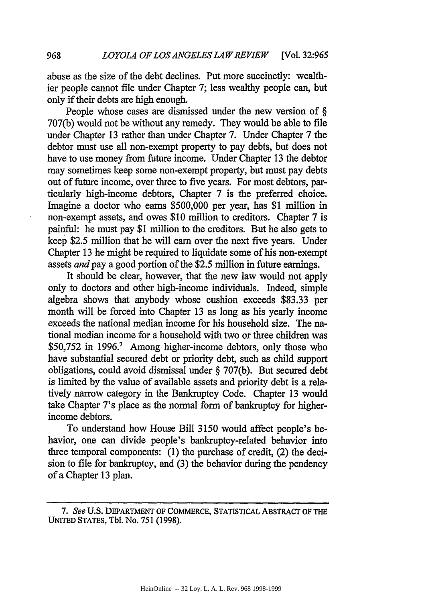abuse as the size of the debt declines. Put more succinctly: wealthier people cannot file under Chapter 7; less wealthy people can, but only if their debts are high enough.

People whose cases are dismissed under the new version of  $\S$ 707(b) would not be without any remedy. They would be able to file under Chapter 13 rather than under Chapter 7. Under Chapter 7 the debtor must use all non-exempt property to pay debts, but does not have to use money from future income. Under Chapter 13 the debtor may sometimes keep some non-exempt property, but must pay debts out of future income, over three to five years. For most debtors, particularly high-income debtors, Chapter 7 is the preferred choice. Imagine a doctor who earns \$500,000 per year, has \$1 million in non-exempt assets, and owes \$10 million to creditors. Chapter 7 is painful: he must pay \$1 million to the creditors. But he also gets to keep \$2.5 million that he will earn over the next five years. Under Chapter 13 he might be required to liquidate some of his non-exempt assets *and pay* a good portion of the \$2.5 million in future earnings.

It should be clear, however, that the new law would not apply only to doctors and other high-income individuals. Indeed, simple algebra shows that anybody whose cushion exceeds \$83.33 per month will be forced into Chapter 13 as long as his yearly income exceeds the national median income for his household size. The national median income for a household with two or three children was \$50,752 in 1996.' Among higher-income debtors, only those who have substantial secured debt or priority debt, such as child support obligations, could avoid dismissal under § 707(b). But secured debt is limited by the value of available assets and priority debt is a relatively narrow category in the Bankruptcy Code. Chapter 13 would take Chapter 7's place as the normal form of bankruptcy for higherincome debtors.

To understand how House Bill 3150 would affect people's behavior, one can divide people's bankruptcy-related behavior into three temporal components: (1) the purchase of credit, (2) the decision to file for bankruptcy, and (3) the behavior during the pendency of a Chapter 13 plan.

968

*<sup>7.</sup> See* **U.S.** DEPARTMENT OF COMMERCE, STATISTICAL ABSTRACT **OF THE** UNITED **STATES,** Tl. No. **751 (1998).**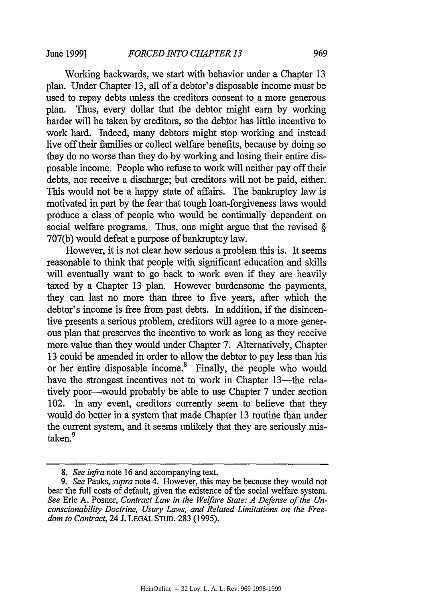June **1999]**

Working backwards, we start with behavior under a Chapter 13 plan. Under Chapter 13, all of a debtor's disposable income must be used to repay debts unless the creditors consent to a more generous plan. Thus, every dollar that the debtor might earn by working harder will be taken by creditors, so the debtor has little incentive to work hard. Indeed, many debtors might stop working and instead live off their families or collect welfare benefits, because by doing so they do no worse than they do by working and losing their entire disposable income. People who refuse to work will neither pay off their debts, nor receive a discharge; but creditors will not be paid, either. This would not be a happy state of affairs. The bankruptcy law is motivated in part by the fear that tough loan-forgiveness laws would produce a class of people who would be continually dependent on social welfare programs. Thus, one might argue that the revised § 707(b) would defeat a purpose of bankruptcy law.

However, it is not clear how serious a problem this is. It seems reasonable to think that people with significant education and skills will eventually want to go back to work even if they are heavily taxed by a Chapter 13 plan. However burdensome the payments, they can last no more than three to five years, after which the debtor's income is free from past debts. In addition, if the disincentive presents a serious problem, creditors will agree to a more generous plan that preserves the incentive to work as long as they receive more value than they would under Chapter 7. Alternatively, Chapter 13 could be amended in order to allow the debtor to pay less than his or her entire disposable income.<sup>8</sup> Finally, the people who would have the strongest incentives not to work in Chapter 13—the relatively poor-would probably be able to use Chapter 7 under section 102. In any event, creditors currently seem to believe that they would do better in a system that made Chapter 13 routine than under the current system, and it seems unlikely that they are seriously mistaken.<sup>9</sup>

*<sup>8.</sup> See infra* note 16 and accompanying text.

*<sup>9.</sup> See* Pauks, *supra* note 4. However, this may be because they would not bear the full costs of default, given the existence of the social welfare system. *See* Eric A. Posner, *Contract Law in the Welfare State: A Defense of the Unconscionability Doctrine, Usury Laws, and Related Limitations on the Freedom to Contract,* 24 J. LEGAL STUD. 283 (1995).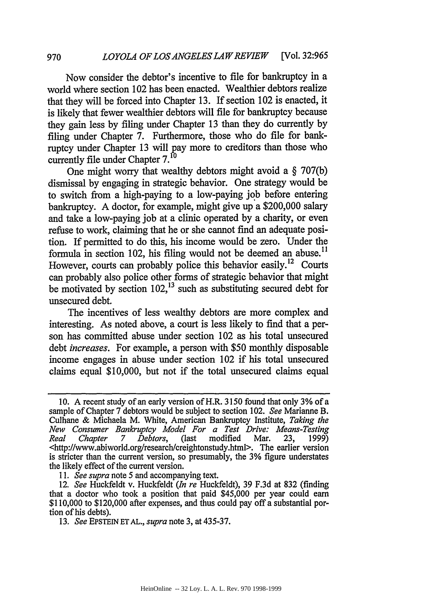Now consider the debtor's incentive to file for bankruptcy in a world where section 102 has been enacted. Wealthier debtors realize that they will be forced into Chapter 13. If section 102 is enacted, it is likely that fewer wealthier debtors will file for bankruptcy because they gain less by filing under Chapter 13 than they do currently by filing under Chapter 7. Furthermore, those who do file for bankruptcy under Chapter 13 will pay more to creditors than those who currently file under Chapter **7.1O**

One might worry that wealthy debtors might avoid a § 707(b) dismissal by engaging in strategic behavior. One strategy would be to switch from a high-paying to a low-paying job before entering bankruptcy. A doctor, for example, might give up a \$200,000 salary and take a low-paying job at a clinic operated by a charity, or even refuse to work, claiming that he or she cannot find an adequate position. If permitted to do this, his income would be zero. Under the formula in section 102, his filing would not be deemed an abuse.<sup>11</sup> However, courts can probably police this behavior easily.<sup>12</sup> Courts can probably also police other forms of strategic behavior that might be motivated by section  $102<sup>13</sup>$  such as substituting secured debt for unsecured debt.

The incentives of less wealthy debtors are more complex and interesting. As noted above, a court is less likely to find that a person has committed abuse under section 102 as his total unsecured debt *increases.* For example, a person with \$50 monthly disposable income engages in abuse under section 102 if his total unsecured claims equal \$10,000, but not if the total unsecured claims equal

*11. See supra* note 5 and accompanying text.

<sup>10.</sup> A recent study of an early version of H.R. 3150 found that only 3% of a sample of Chapter 7 debtors would be subject to section 102. *See* Marianne B. Culhane & Michaela M. White, American Bankruptcy Institute, *Taking the New Consumer Bankruptcy Model For a Test Drive: Means-Testing Real Chapter 7 Debtors,* (last modified Mar. 23, 1999) <http://www.abiworld.org/research/creightonstudy.html>. The earlier version is stricter than the current version, so presumably, the 3% figure understates the likely effect of the current version.

<sup>12.</sup> *See* Huckfeldt v. Huckfeldt *(In re* Huckfeldt), 39 F.3d at 832 (finding that a doctor who took a position that paid \$45,000 per year could earn \$110,000 to \$120,000 after expenses, and thus could pay off a substantial portion of his debts).

**<sup>13.</sup>** *See* EPSTEIN **ET AL.,** *supra* note **3,** at 435-37.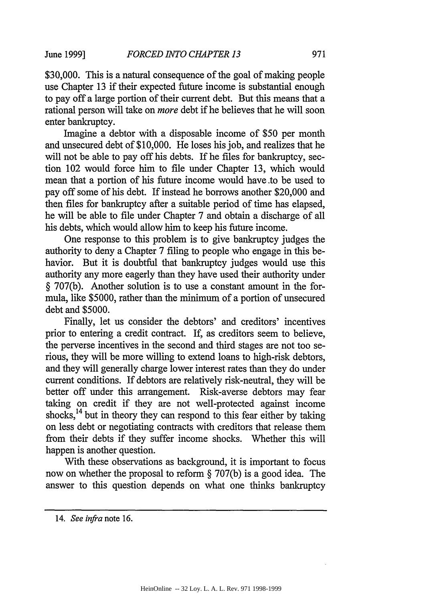**June 1999]**

\$30,000. This is a natural consequence of the goal of making people use Chapter 13 if their expected future income is substantial enough to pay off a large portion of their current debt. But this means that a rational person will take on *more* debt if he believes that he will soon enter bankruptcy.

Imagine a debtor with a disposable income of \$50 per month and unsecured debt of \$10,000. He loses his job, and realizes that he will not be able to pay off his debts. If he files for bankruptcy, section 102 would force him to file under Chapter 13, which would mean that a portion of his future income would have to be used to pay off some of his debt. If instead he borrows another \$20,000 and then files for bankruptcy after a suitable period of time has elapsed, he will be able to file under Chapter 7 and obtain a discharge of all his debts, which would allow him to keep his future income.

One response to this problem is to give bankruptcy judges the authority to deny a Chapter 7 filing to people who engage in this behavior. But it is doubtful that bankruptcy judges would use this authority any more eagerly than they have used their authority under § 707(b). Another solution is to use a constant amount in the formula, like \$5000, rather than the minimum of a portion of unsecured debt and \$5000.

Finally, let us consider the debtors' and creditors' incentives prior to entering a credit contract. If, as creditors seem to believe, the perverse incentives in the second and third stages are not too serious, they will be more willing to extend loans to high-risk debtors, and they will generally charge lower interest rates than they do under current conditions. If debtors are relatively risk-neutral, they will be better off under this arrangement. Risk-averse debtors may fear taking on credit if they are not well-protected against income shocks,<sup>14</sup> but in theory they can respond to this fear either by taking on less debt or negotiating contracts with creditors that release them from their debts if they suffer income shocks. Whether this will happen is another question.

With these observations as background, it is important to focus now on whether the proposal to reform § 707(b) is a good idea. The answer to this question depends on what one thinks bankruptcy

<sup>14.</sup> *See infra* note 16.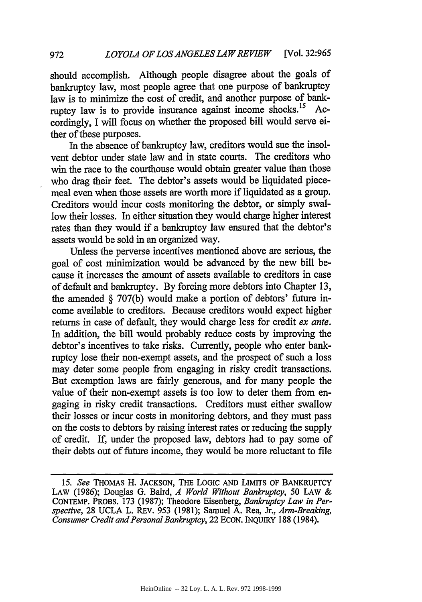should accomplish. Although people disagree about the goals of bankruptcy law, most people agree that one purpose of bankruptcy law is to minimize the cost of credit, and another purpose of bankruptcy law is to provide insurance against income shocks.<sup>15</sup> Accordingly, I will focus on whether the proposed bill would serve either of these purposes.

In the absence of bankruptcy law, creditors would sue the insolvent debtor under state law and in state courts. The creditors who win the race to the courthouse would obtain greater value than those who drag their feet. The debtor's assets would be liquidated piecemeal even when those assets are worth more if liquidated as a group. Creditors would incur costs monitoring the debtor, or simply swallow their losses. In either situation they would charge higher interest rates than they would if a bankruptcy law ensured that the debtor's assets would be sold in an organized way.

Unless the perverse incentives mentioned above are serious, the goal of cost minimization would be advanced by the new bill because it increases the amount of assets available to creditors in case of default and bankruptcy. By forcing more debtors into Chapter 13, the amended § 707(b) would make a portion of debtors' future income available to creditors. Because creditors would expect higher returns in case of default, they would charge less for credit *ex ante.* In addition, the bill would probably reduce costs by improving the debtor's incentives to take risks. Currently, people who enter bankruptcy lose their non-exempt assets, and the prospect of such a loss may deter some people from engaging in risky credit transactions. But exemption laws are fairly generous, and for many people the value of their non-exempt assets is too low to deter them from engaging in risky credit transactions. Creditors must either swallow their losses or incur costs in monitoring debtors, and they must pass on the costs to debtors by raising interest rates or reducing the supply of credit. If, under the proposed law, debtors had to pay some of their debts out of future income, they would be more reluctant to file

*<sup>15.</sup> See* THOMAS H. JACKSON, THE LOGIC AND LIMITs OF BANKRUPTCY LAW (1986); Douglas G. Baird, *A World Without Bankruptcy, 50* LAW & CONTEMP. PROBS. 173 (1987); Theodore Eisenberg, *Bankruptcy Law in Perspective,* 28 UCLA L. REV. 953 (1981); Samuel A. Rea, Jr., *Arm-Breaking, Consumer Credit and Personal Bankruptcy,* 22 ECON. INQUIRY 188 (1984).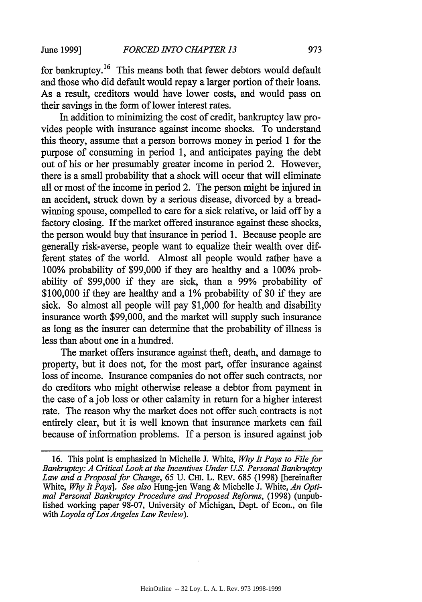for bankruptcy.<sup>16</sup> This means both that fewer debtors would default and those who did default would repay a larger portion of their loans. As a result, creditors would have lower costs, and would pass on their savings in the form of lower interest rates.

In addition to minimizing the cost of credit, bankruptcy law provides people with insurance against income shocks. To understand this theory, assume that a person borrows money in period 1 for the purpose of consuming in period 1, and anticipates paying the debt out of his or her presumably greater income in period 2. However, there is a small probability that a shock will occur that will eliminate all or most of the income in period 2. The person might be injured in an accident, struck down by a serious disease, divorced by a breadwinning spouse, compelled to care for a sick relative, or laid off by a factory closing. If the market offered insurance against these shocks, the person would buy that insurance in period 1. Because people are generally risk-averse, people want to equalize their wealth over different states of the world. Almost all people would rather have a 100% probability of \$99,000 if they are healthy and a 100% probability of \$99,000 if they are sick, than a 99% probability of \$100,000 if they are healthy and a 1% probability of \$0 if they are sick. So almost all people will pay \$1,000 for health and disability insurance worth \$99,000, and the market will supply such insurance as long as the insurer can determine that the probability of illness is less than about one in a hundred.

The market offers insurance against theft, death, and damage to property, but it does not, for the most part, offer insurance against loss of income. Insurance companies do not offer such contracts, nor do creditors who might otherwise release a debtor from payment in the case of a job loss or other calamity in return for a higher interest rate. The reason why the market does not offer such contracts is not entirely clear, but it is well known that insurance markets can fail because of information problems. If a person is insured against job

<sup>16.</sup> This point is emphasized in Michelle J. White, *Why It Pays to File for Bankruptcy: A Critical Look at the Incentives Under U.S. Personal Bankruptcy* Law and a Proposal for Change, 65 U. CHI. L. REV. 685 (1998) [hereinafter White, *Why It Pays]. See also* Hung-jen Wang & Michelle J. White, *An Opti- mal Personal Bankruptcy Procedure and Proposed Reforms,* (1998) (unpublished working paper 98-07, University of Michigan, Dept. of Econ., on file with *Loyola ofLos Angeles Law Review).*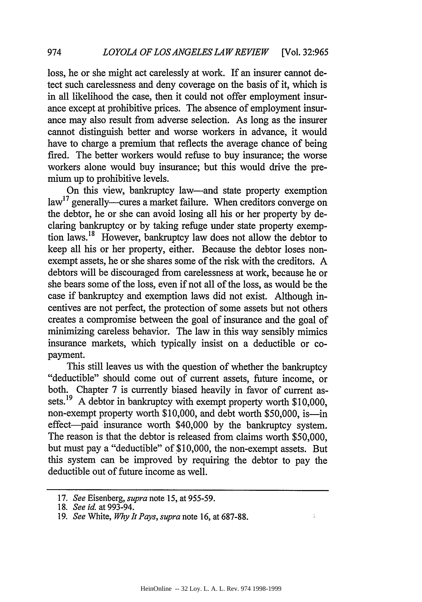loss, he or she might act carelessly at work. If an insurer cannot detect such carelessness and deny coverage on the basis of it, which is in all likelihood the case, then it could not offer employment insurance except at prohibitive prices. The absence of employment insurance may also result from adverse selection. As long as the insurer cannot distinguish better and worse workers in advance, it would have to charge a premium that reflects the average chance of being fired. The better workers would refuse to buy insurance; the worse workers alone would buy insurance; but this would drive the premium up to prohibitive levels.

On this view, bankruptcy law-and state property exemption  $\text{law}^{17}$  generally—cures a market failure. When creditors converge on the debtor, he or she can avoid losing all his or her property by declaring bankruptcy or by taking refuge under state property exemption laws.<sup>18</sup> However, bankruptcy law does not allow the debtor to keep all his or her property, either. Because the debtor loses nonexempt assets, he or she shares some of the risk with the creditors. A debtors will be discouraged from carelessness at work, because he or she bears some of the loss, even if not all of the loss, as would be the case if bankruptcy and exemption laws did not exist. Although incentives are not perfect, the protection of some assets but not others creates a compromise between the goal of insurance and the goal of minimizing careless behavior. The law in this way sensibly mimics insurance markets, which typically insist on a deductible or copayment.

This still leaves us with the question of whether the bankruptcy "deductible" should come out of current assets, future income, or both. Chapter 7 is currently biased heavily in favor of current assets.<sup>19</sup> A debtor in bankruptcy with exempt property worth \$10,000, non-exempt property worth \$10,000, and debt worth \$50,000, is—in effect-paid insurance worth \$40,000 by the bankruptcy system. The reason is that the debtor is released from claims worth \$50,000, but must pay a "deductible" of \$10,000, the non-exempt assets. But this system can be improved by requiring the debtor to pay the deductible out of future income as well.

 $\frac{1}{4}$ 

<sup>17.</sup> *See* Eisenberg, *supra* note 15, at 955-59.

<sup>18.</sup> *See id.* at 993-94.

<sup>19.</sup> *See* White, *Why It Pays, supra* note 16, at 687-88.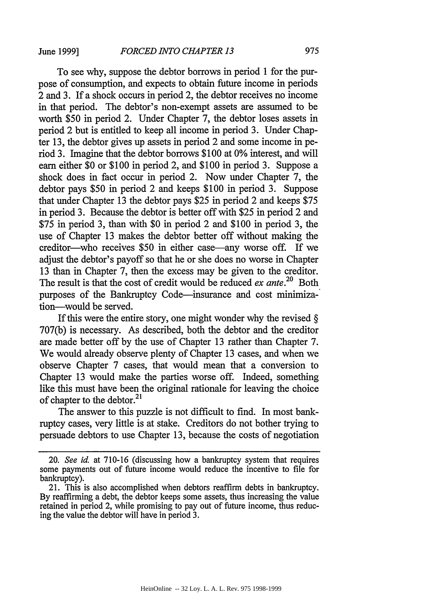To see why, suppose the debtor borrows in period 1 for the purpose of consumption, and expects to obtain future income in periods 2 and 3. If a shock occurs in period 2, the debtor receives no income in that period. The debtor's non-exempt assets are assumed to be worth \$50 in period 2. Under Chapter 7, the debtor loses assets in period 2 but is entitled to keep all income in period 3. Under Chapter 13, the debtor gives up assets in period 2 and some income in period 3. Imagine that the debtor borrows \$100 at 0% interest, and will earn either \$0 or \$100 in period 2, and \$100 in period 3. Suppose a shock does in fact occur in period 2. Now under Chapter 7, the debtor pays \$50 in period 2 and keeps \$100 in period 3. Suppose that under Chapter 13 the debtor pays \$25 in period 2 and keeps \$75 in period 3. Because the debtor is better off with \$25 in period 2 and \$75 in period 3, than with \$0 in period 2 and \$100 in period 3, the use of Chapter 13 makes the debtor better off without making the creditor—who receives \$50 in either case—any worse off. If we adjust the debtor's payoff so that he or she does no worse in Chapter 13 than in Chapter 7, then the excess may be given to the creditor. The result is that the cost of credit would be reduced *ex ante*.<sup>20</sup> Both purposes of the Bankruptcy Code-insurance and cost minimization-would be served.

If this were the entire story, one might wonder why the revised  $\S$ 707(b) is necessary. As described, both the debtor and the creditor are made better off by the use of Chapter 13 rather than Chapter 7. We would already observe plenty of Chapter 13 cases, and when we observe Chapter 7 cases, that would mean that a conversion to Chapter 13 would make the parties worse off. Indeed, something like this must have been the original rationale for leaving the choice of chapter to the debtor.<sup>21</sup>

The answer to this puzzle is not difficult to find. In most bankruptcy cases, very little is at stake. Creditors do not bother trying to persuade debtors to use Chapter 13, because the costs of negotiation

<sup>20.</sup> *See id.* at 710-16 (discussing how a bankruptcy system that requires some payments out of future income would reduce the incentive to file for bankruptcy).

<sup>21.</sup> This is also accomplished when debtors reaffirm debts in bankruptcy. By reaffirming a debt, the debtor keeps some assets, thus increasing the value retained in period 2, while promising to pay out of future income, thus reducing the value the debtor will have in period 3.